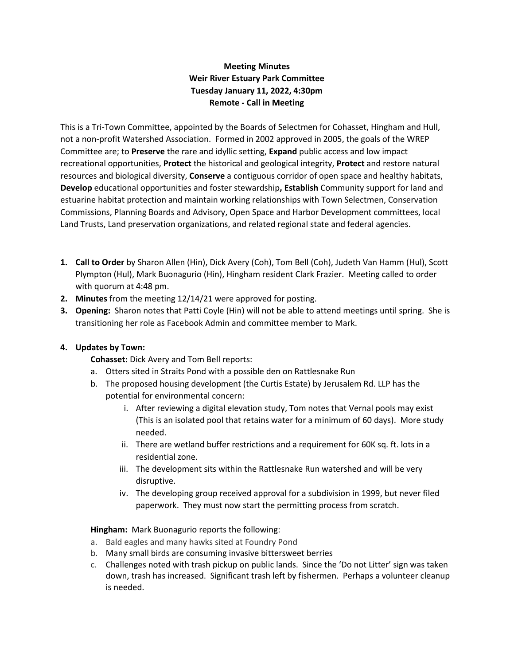# **Meeting Minutes Weir River Estuary Park Committee Tuesday January 11, 2022, 4:30pm Remote - Call in Meeting**

This is a Tri-Town Committee, appointed by the Boards of Selectmen for Cohasset, Hingham and Hull, not a non-profit Watershed Association. Formed in 2002 approved in 2005, the goals of the WREP Committee are; to **Preserve** the rare and idyllic setting, **Expand** public access and low impact recreational opportunities, **Protect** the historical and geological integrity, **Protect** and restore natural resources and biological diversity, **Conserve** a contiguous corridor of open space and healthy habitats, **Develop** educational opportunities and foster stewardship**, Establish** Community support for land and estuarine habitat protection and maintain working relationships with Town Selectmen, Conservation Commissions, Planning Boards and Advisory, Open Space and Harbor Development committees, local Land Trusts, Land preservation organizations, and related regional state and federal agencies.

- **1. Call to Order** by Sharon Allen (Hin), Dick Avery (Coh), Tom Bell (Coh), Judeth Van Hamm (Hul), Scott Plympton (Hul), Mark Buonagurio (Hin), Hingham resident Clark Frazier. Meeting called to order with quorum at 4:48 pm.
- **2. Minutes** from the meeting 12/14/21 were approved for posting.
- **3. Opening:** Sharon notes that Patti Coyle (Hin) will not be able to attend meetings until spring. She is transitioning her role as Facebook Admin and committee member to Mark.

## **4. Updates by Town:**

**Cohasset:** Dick Avery and Tom Bell reports:

- a. Otters sited in Straits Pond with a possible den on Rattlesnake Run
- b. The proposed housing development (the Curtis Estate) by Jerusalem Rd. LLP has the potential for environmental concern:
	- i. After reviewing a digital elevation study, Tom notes that Vernal pools may exist (This is an isolated pool that retains water for a minimum of 60 days). More study needed.
	- ii. There are wetland buffer restrictions and a requirement for 60K sq. ft. lots in a residential zone.
	- iii. The development sits within the Rattlesnake Run watershed and will be very disruptive.
	- iv. The developing group received approval for a subdivision in 1999, but never filed paperwork. They must now start the permitting process from scratch.

**Hingham:** Mark Buonagurio reports the following:

- a. Bald eagles and many hawks sited at Foundry Pond
- b. Many small birds are consuming invasive bittersweet berries
- c. Challenges noted with trash pickup on public lands. Since the 'Do not Litter' sign was taken down, trash has increased. Significant trash left by fishermen. Perhaps a volunteer cleanup is needed.